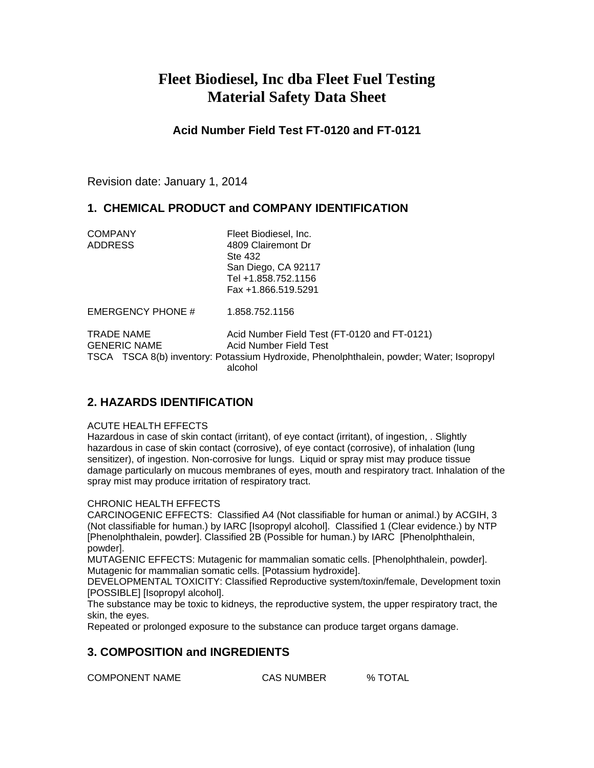# **Fleet Biodiesel, Inc dba Fleet Fuel Testing Material Safety Data Sheet**

**Acid Number Field Test FT-0120 and FT-0121**

Revision date: January 1, 2014

# **1. CHEMICAL PRODUCT and COMPANY IDENTIFICATION**

| <b>COMPANY</b> | Fleet Biodiesel, Inc. |
|----------------|-----------------------|
|                |                       |
| <b>ADDRESS</b> | 4809 Clairemont Dr    |
|                | Ste 432               |
|                | San Diego, CA 92117   |
|                | Tel +1.858.752.1156   |
|                | Fax +1.866.519.5291   |

EMERGENCY PHONE # 1.858.752.1156

TRADE NAME Acid Number Field Test (FT-0120 and FT-0121) GENERIC NAME Acid Number Field Test TSCA TSCA 8(b) inventory: Potassium Hydroxide, Phenolphthalein, powder; Water; Isopropyl alcohol

# **2. HAZARDS IDENTIFICATION**

## ACUTE HEALTH EFFECTS

Hazardous in case of skin contact (irritant), of eye contact (irritant), of ingestion, . Slightly hazardous in case of skin contact (corrosive), of eye contact (corrosive), of inhalation (lung sensitizer), of ingestion. Non-corrosive for lungs. Liquid or spray mist may produce tissue damage particularly on mucous membranes of eyes, mouth and respiratory tract. Inhalation of the spray mist may produce irritation of respiratory tract.

## CHRONIC HEALTH EFFECTS

CARCINOGENIC EFFECTS: Classified A4 (Not classifiable for human or animal.) by ACGIH, 3 (Not classifiable for human.) by IARC [Isopropyl alcohol]. Classified 1 (Clear evidence.) by NTP [Phenolphthalein, powder]. Classified 2B (Possible for human.) by IARC [Phenolphthalein, powder].

MUTAGENIC EFFECTS: Mutagenic for mammalian somatic cells. [Phenolphthalein, powder]. Mutagenic for mammalian somatic cells. [Potassium hydroxide].

DEVELOPMENTAL TOXICITY: Classified Reproductive system/toxin/female, Development toxin [POSSIBLE] [Isopropyl alcohol].

The substance may be toxic to kidneys, the reproductive system, the upper respiratory tract, the skin, the eyes.

Repeated or prolonged exposure to the substance can produce target organs damage.

# **3. COMPOSITION and INGREDIENTS**

COMPONENT NAME CAS NUMBER % TOTAL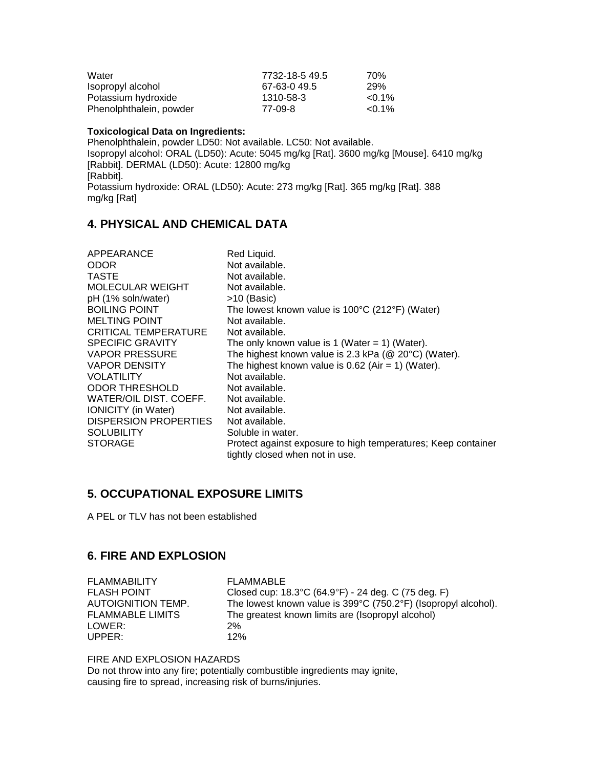| Water                   | 7732-18-5 49.5 | 70%       |
|-------------------------|----------------|-----------|
| Isopropyl alcohol       | 67-63-0 49.5   | 29%       |
| Potassium hydroxide     | 1310-58-3      | $< 0.1\%$ |
| Phenolphthalein, powder | 77-09-8        | $< 0.1\%$ |

### **Toxicological Data on Ingredients:**

Phenolphthalein, powder LD50: Not available. LC50: Not available. Isopropyl alcohol: ORAL (LD50): Acute: 5045 mg/kg [Rat]. 3600 mg/kg [Mouse]. 6410 mg/kg [Rabbit]. DERMAL (LD50): Acute: 12800 mg/kg [Rabbit]. Potassium hydroxide: ORAL (LD50): Acute: 273 mg/kg [Rat]. 365 mg/kg [Rat]. 388 mg/kg [Rat]

# **4. PHYSICAL AND CHEMICAL DATA**

| APPEARANCE                 | Red Liquid.                                                   |
|----------------------------|---------------------------------------------------------------|
| ODOR                       | Not available.                                                |
| TASTE                      | Not available.                                                |
| MOLECULAR WEIGHT           | Not available.                                                |
| pH (1% soln/water)         | $>10$ (Basic)                                                 |
| <b>BOILING POINT</b>       | The lowest known value is $100^{\circ}$ C (212°F) (Water)     |
| <b>MELTING POINT</b>       | Not available.                                                |
| CRITICAL TEMPERATURE       | Not available.                                                |
| <b>SPECIFIC GRAVITY</b>    | The only known value is $1$ (Water = 1) (Water).              |
| VAPOR PRESSURE             | The highest known value is 2.3 kPa ( $@$ 20 $°C$ ) (Water).   |
| VAPOR DENSITY              | The highest known value is 0.62 (Air = 1) (Water).            |
| VOLATILITY                 | Not available.                                                |
| ODOR THRESHOLD             | Not available.                                                |
| WATER/OIL DIST. COEFF.     | Not available.                                                |
| <b>IONICITY</b> (in Water) | Not available.                                                |
| DISPERSION PROPERTIES      | Not available.                                                |
| <b>SOLUBILITY</b>          | Soluble in water.                                             |
| <b>STORAGE</b>             | Protect against exposure to high temperatures; Keep container |
|                            | tightly closed when not in use.                               |

# **5. OCCUPATIONAL EXPOSURE LIMITS**

A PEL or TLV has not been established

# **6. FIRE AND EXPLOSION**

FLAMMABILITY FLAMMABLE LOWER: 2% UPPER: 12%

FLASH POINT Closed cup: 18.3°C (64.9°F) - 24 deg. C (75 deg. F) AUTOIGNITION TEMP. The lowest known value is  $399^{\circ}C$  (750.2°F) (Isopropyl alcohol). FLAMMABLE LIMITS The greatest known limits are (Isopropyl alcohol)

FIRE AND EXPLOSION HAZARDS

Do not throw into any fire; potentially combustible ingredients may ignite, causing fire to spread, increasing risk of burns/injuries.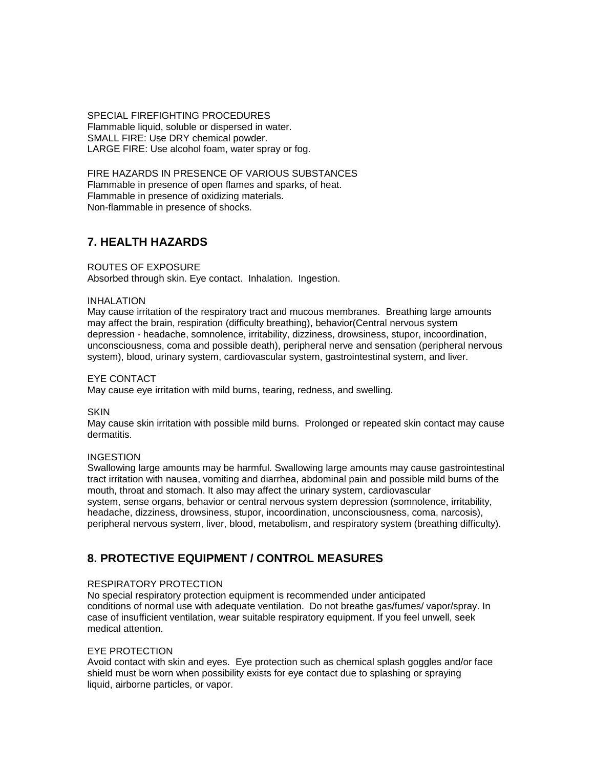SPECIAL FIREFIGHTING PROCEDURES Flammable liquid, soluble or dispersed in water. SMALL FIRE: Use DRY chemical powder. LARGE FIRE: Use alcohol foam, water spray or fog.

FIRE HAZARDS IN PRESENCE OF VARIOUS SUBSTANCES Flammable in presence of open flames and sparks, of heat. Flammable in presence of oxidizing materials. Non-flammable in presence of shocks.

# **7. HEALTH HAZARDS**

## ROUTES OF EXPOSURE

Absorbed through skin. Eye contact. Inhalation. Ingestion.

### INHALATION

May cause irritation of the respiratory tract and mucous membranes. Breathing large amounts may affect the brain, respiration (difficulty breathing), behavior(Central nervous system depression - headache, somnolence, irritability, dizziness, drowsiness, stupor, incoordination, unconsciousness, coma and possible death), peripheral nerve and sensation (peripheral nervous system), blood, urinary system, cardiovascular system, gastrointestinal system, and liver.

### EYE CONTACT

May cause eye irritation with mild burns, tearing, redness, and swelling.

### SKIN

May cause skin irritation with possible mild burns. Prolonged or repeated skin contact may cause dermatitis.

### **INGESTION**

Swallowing large amounts may be harmful. Swallowing large amounts may cause gastrointestinal tract irritation with nausea, vomiting and diarrhea, abdominal pain and possible mild burns of the mouth, throat and stomach. It also may affect the urinary system, cardiovascular system, sense organs, behavior or central nervous system depression (somnolence, irritability, headache, dizziness, drowsiness, stupor, incoordination, unconsciousness, coma, narcosis), peripheral nervous system, liver, blood, metabolism, and respiratory system (breathing difficulty).

# **8. PROTECTIVE EQUIPMENT / CONTROL MEASURES**

## RESPIRATORY PROTECTION

No special respiratory protection equipment is recommended under anticipated conditions of normal use with adequate ventilation. Do not breathe gas/fumes/ vapor/spray. In case of insufficient ventilation, wear suitable respiratory equipment. If you feel unwell, seek medical attention.

## EYE PROTECTION

Avoid contact with skin and eyes. Eye protection such as chemical splash goggles and/or face shield must be worn when possibility exists for eye contact due to splashing or spraying liquid, airborne particles, or vapor.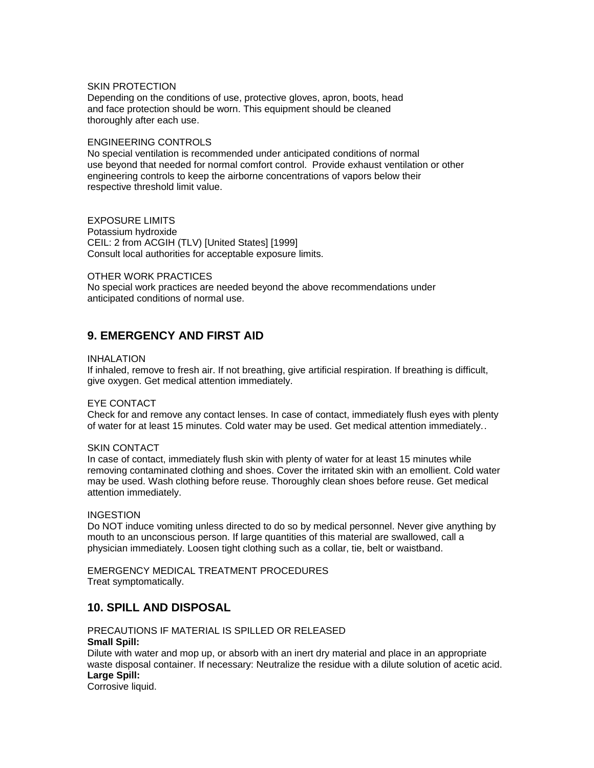### SKIN PROTECTION

Depending on the conditions of use, protective gloves, apron, boots, head and face protection should be worn. This equipment should be cleaned thoroughly after each use.

#### ENGINEERING CONTROLS

No special ventilation is recommended under anticipated conditions of normal use beyond that needed for normal comfort control. Provide exhaust ventilation or other engineering controls to keep the airborne concentrations of vapors below their respective threshold limit value.

EXPOSURE LIMITS Potassium hydroxide CEIL: 2 from ACGIH (TLV) [United States] [1999] Consult local authorities for acceptable exposure limits.

### OTHER WORK PRACTICES

No special work practices are needed beyond the above recommendations under anticipated conditions of normal use.

# **9. EMERGENCY AND FIRST AID**

#### INHALATION

If inhaled, remove to fresh air. If not breathing, give artificial respiration. If breathing is difficult, give oxygen. Get medical attention immediately.

### EYE CONTACT

Check for and remove any contact lenses. In case of contact, immediately flush eyes with plenty of water for at least 15 minutes. Cold water may be used. Get medical attention immediately..

### SKIN CONTACT

In case of contact, immediately flush skin with plenty of water for at least 15 minutes while removing contaminated clothing and shoes. Cover the irritated skin with an emollient. Cold water may be used. Wash clothing before reuse. Thoroughly clean shoes before reuse. Get medical attention immediately.

### **INGESTION**

Do NOT induce vomiting unless directed to do so by medical personnel. Never give anything by mouth to an unconscious person. If large quantities of this material are swallowed, call a physician immediately. Loosen tight clothing such as a collar, tie, belt or waistband.

EMERGENCY MEDICAL TREATMENT PROCEDURES Treat symptomatically.

# **10. SPILL AND DISPOSAL**

PRECAUTIONS IF MATERIAL IS SPILLED OR RELEASED **Small Spill:** Dilute with water and mop up, or absorb with an inert dry material and place in an appropriate

waste disposal container. If necessary: Neutralize the residue with a dilute solution of acetic acid. **Large Spill:**

Corrosive liquid.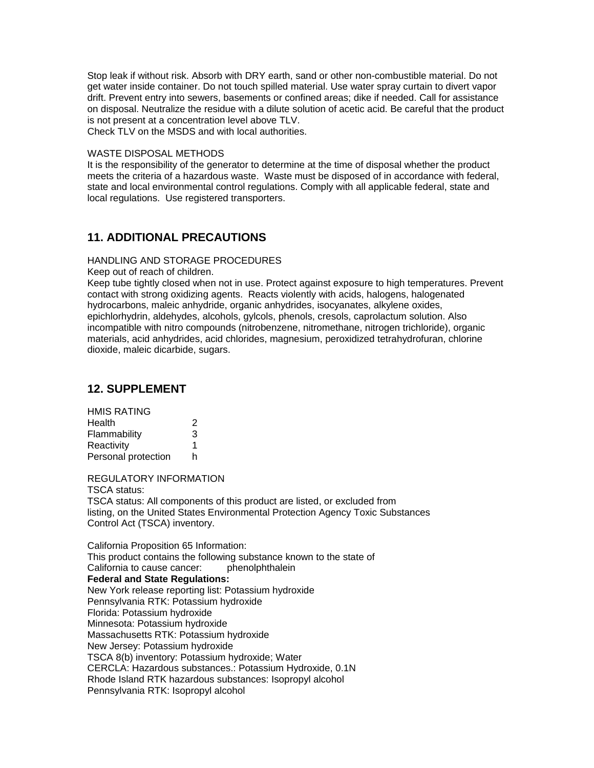Stop leak if without risk. Absorb with DRY earth, sand or other non-combustible material. Do not get water inside container. Do not touch spilled material. Use water spray curtain to divert vapor drift. Prevent entry into sewers, basements or confined areas; dike if needed. Call for assistance on disposal. Neutralize the residue with a dilute solution of acetic acid. Be careful that the product is not present at a concentration level above TLV. Check TLV on the MSDS and with local authorities.

#### WASTE DISPOSAL METHODS

It is the responsibility of the generator to determine at the time of disposal whether the product meets the criteria of a hazardous waste. Waste must be disposed of in accordance with federal, state and local environmental control regulations. Comply with all applicable federal, state and local regulations. Use registered transporters.

# **11. ADDITIONAL PRECAUTIONS**

### HANDLING AND STORAGE PROCEDURES

Keep out of reach of children.

Keep tube tightly closed when not in use. Protect against exposure to high temperatures. Prevent contact with strong oxidizing agents. Reacts violently with acids, halogens, halogenated hydrocarbons, maleic anhydride, organic anhydrides, isocyanates, alkylene oxides, epichlorhydrin, aldehydes, alcohols, gylcols, phenols, cresols, caprolactum solution. Also incompatible with nitro compounds (nitrobenzene, nitromethane, nitrogen trichloride), organic materials, acid anhydrides, acid chlorides, magnesium, peroxidized tetrahydrofuran, chlorine dioxide, maleic dicarbide, sugars.

# **12. SUPPLEMENT**

| <b>HMIS RATING</b>  |   |
|---------------------|---|
| Health              | 2 |
| Flammability        | 3 |
| Reactivity          | 1 |
| Personal protection | h |

REGULATORY INFORMATION

TSCA status:

TSCA status: All components of this product are listed, or excluded from listing, on the United States Environmental Protection Agency Toxic Substances Control Act (TSCA) inventory.

California Proposition 65 Information: This product contains the following substance known to the state of California to cause cancer: phenolphthalein **Federal and State Regulations:** New York release reporting list: Potassium hydroxide Pennsylvania RTK: Potassium hydroxide Florida: Potassium hydroxide Minnesota: Potassium hydroxide Massachusetts RTK: Potassium hydroxide New Jersey: Potassium hydroxide TSCA 8(b) inventory: Potassium hydroxide; Water CERCLA: Hazardous substances.: Potassium Hydroxide, 0.1N Rhode Island RTK hazardous substances: Isopropyl alcohol Pennsylvania RTK: Isopropyl alcohol